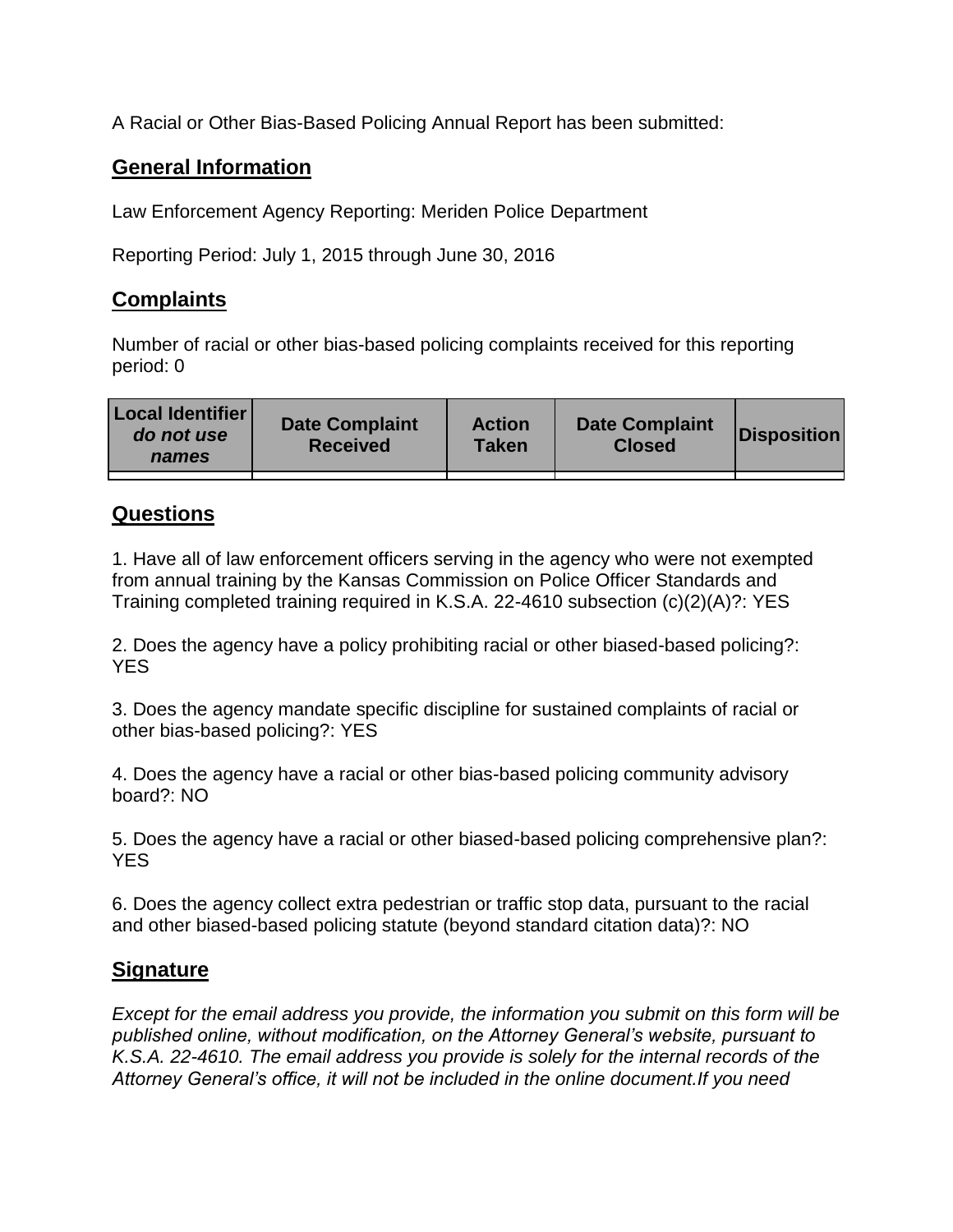A Racial or Other Bias-Based Policing Annual Report has been submitted:

## **General Information**

Law Enforcement Agency Reporting: Meriden Police Department

Reporting Period: July 1, 2015 through June 30, 2016

## **Complaints**

Number of racial or other bias-based policing complaints received for this reporting period: 0

| <b>Local Identifier</b><br>do not use<br>names | <b>Date Complaint</b><br><b>Received</b> | <b>Action</b><br><b>Taken</b> | <b>Date Complaint</b><br><b>Closed</b> | Disposition |
|------------------------------------------------|------------------------------------------|-------------------------------|----------------------------------------|-------------|
|                                                |                                          |                               |                                        |             |

## **Questions**

1. Have all of law enforcement officers serving in the agency who were not exempted from annual training by the Kansas Commission on Police Officer Standards and Training completed training required in K.S.A. 22-4610 subsection (c)(2)(A)?: YES

2. Does the agency have a policy prohibiting racial or other biased-based policing?: YES

3. Does the agency mandate specific discipline for sustained complaints of racial or other bias-based policing?: YES

4. Does the agency have a racial or other bias-based policing community advisory board?: NO

5. Does the agency have a racial or other biased-based policing comprehensive plan?: YES

6. Does the agency collect extra pedestrian or traffic stop data, pursuant to the racial and other biased-based policing statute (beyond standard citation data)?: NO

## **Signature**

*Except for the email address you provide, the information you submit on this form will be published online, without modification, on the Attorney General's website, pursuant to K.S.A. 22-4610. The email address you provide is solely for the internal records of the Attorney General's office, it will not be included in the online document.If you need*